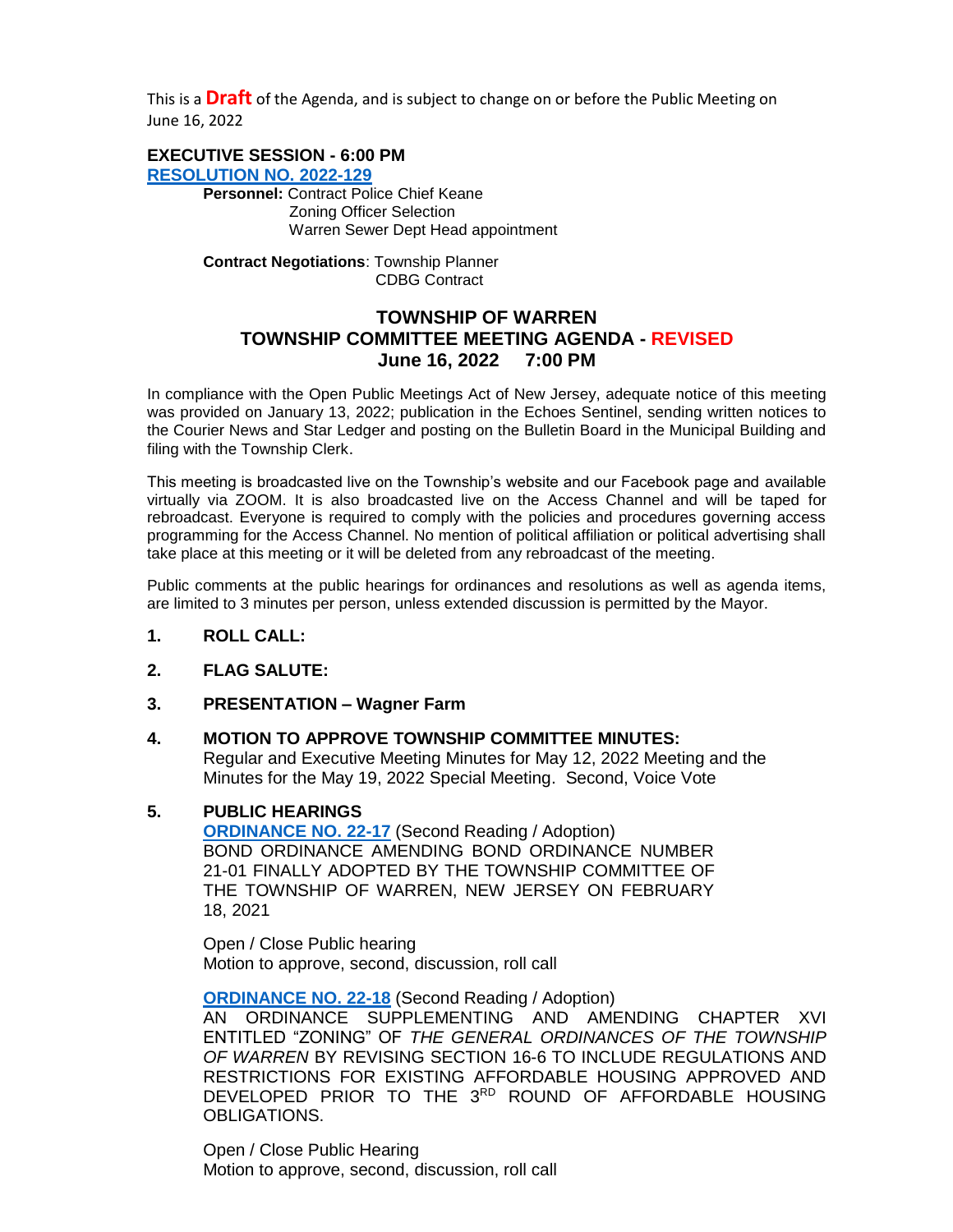This is a **Draft** of the Agenda, and is subject to change on or before the Public Meeting on June 16, 2022

# **EXECUTIVE SESSION - 6:00 PM**

**[RESOLUTION NO.](https://warrennj.org/DocumentCenter/View/5907/2022-129-Executive-Session-JUNE-PDF) 2022-129 Personnel:** Contract Police Chief Keane Zoning Officer Selection Warren Sewer Dept Head appointment

> **Contract Negotiations**: Township Planner CDBG Contract

# **TOWNSHIP OF WARREN TOWNSHIP COMMITTEE MEETING AGENDA - REVISED June 16, 2022 7:00 PM**

In compliance with the Open Public Meetings Act of New Jersey, adequate notice of this meeting was provided on January 13, 2022; publication in the Echoes Sentinel, sending written notices to the Courier News and Star Ledger and posting on the Bulletin Board in the Municipal Building and filing with the Township Clerk.

This meeting is broadcasted live on the Township's website and our Facebook page and available virtually via ZOOM. It is also broadcasted live on the Access Channel and will be taped for rebroadcast. Everyone is required to comply with the policies and procedures governing access programming for the Access Channel. No mention of political affiliation or political advertising shall take place at this meeting or it will be deleted from any rebroadcast of the meeting.

Public comments at the public hearings for ordinances and resolutions as well as agenda items, are limited to 3 minutes per person, unless extended discussion is permitted by the Mayor.

- **1. ROLL CALL:**
- **2. FLAG SALUTE:**
- **3. PRESENTATION – Wagner Farm**

# **4. MOTION TO APPROVE TOWNSHIP COMMITTEE MINUTES:**

Regular and Executive Meeting Minutes for May 12, 2022 Meeting and the Minutes for the May 19, 2022 Special Meeting. Second, Voice Vote

#### **5. PUBLIC HEARINGS**

**[ORDINANCE NO. 22-17](https://nj-warrentownship.civicplus.com/DocumentCenter/View/5735/Ordinance-22-17-Bond-Ordinance-Amending-Bond-Ordinance-No-21-01-PDF)** (Second Reading / Adoption) BOND ORDINANCE AMENDING BOND ORDINANCE NUMBER 21-01 FINALLY ADOPTED BY THE TOWNSHIP COMMITTEE OF THE TOWNSHIP OF WARREN, NEW JERSEY ON FEBRUARY 18, 2021

Open / Close Public hearing Motion to approve, second, discussion, roll call

**[ORDINANCE NO. 22-18](https://nj-warrentownship.civicplus.com/DocumentCenter/View/5732/Ordinance-22-18-AMENDING-CHAPTER-XVI-TO-RE-ADOPT-REGULATIONS--FOR-PRIOR--ROUND-AFFORDABLE-HOUSING-PDF)** (Second Reading / Adoption)

AN ORDINANCE SUPPLEMENTING AND AMENDING CHAPTER XVI ENTITLED "ZONING" OF *THE GENERAL ORDINANCES OF THE TOWNSHIP OF WARREN* BY REVISING SECTION 16-6 TO INCLUDE REGULATIONS AND RESTRICTIONS FOR EXISTING AFFORDABLE HOUSING APPROVED AND DEVELOPED PRIOR TO THE 3RD ROUND OF AFFORDABLE HOUSING OBLIGATIONS.

Open / Close Public Hearing Motion to approve, second, discussion, roll call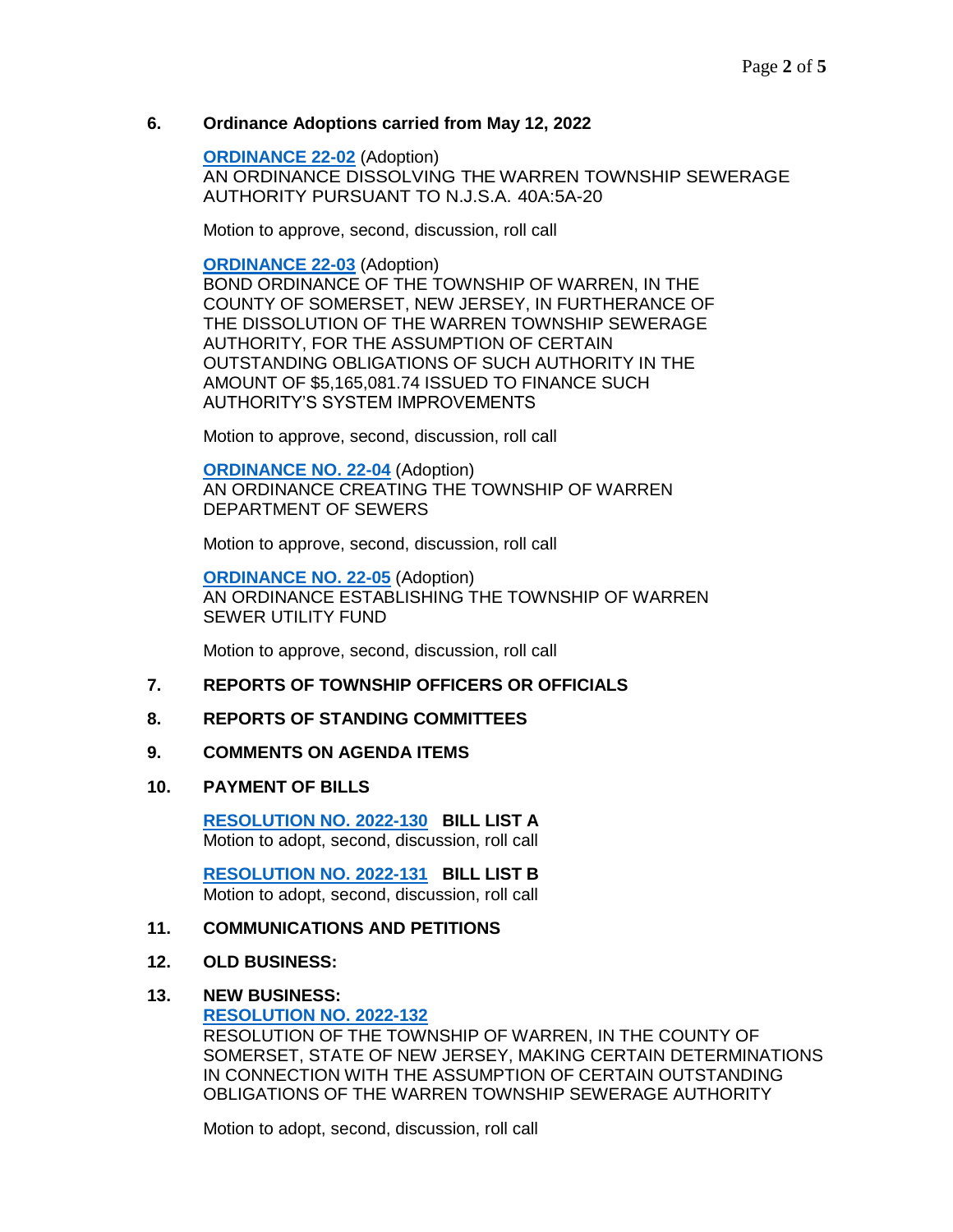### **6. Ordinance Adoptions carried from May 12, 2022**

**[ORDINANCE 22-02](https://nj-warrentownship.civicplus.com/DocumentCenter/View/5530/Ordinance-22-02-Dissolving-the-Warren-Township-Sewerage-Authority-PDF)** (Adoption) AN ORDINANCE DISSOLVING THE WARREN TOWNSHIP SEWERAGE AUTHORITY PURSUANT TO N.J.S.A. 40A:5A-20

Motion to approve, second, discussion, roll call

**[ORDINANCE 22-03](https://nj-warrentownship.civicplus.com/DocumentCenter/View/5531/Ordinance--22-03-Bond-Ordinance-for-WTSA-Obligations-Dissolution-PDF)** (Adoption) BOND ORDINANCE OF THE TOWNSHIP OF WARREN, IN THE COUNTY OF SOMERSET, NEW JERSEY, IN FURTHERANCE OF THE DISSOLUTION OF THE WARREN TOWNSHIP SEWERAGE AUTHORITY, FOR THE ASSUMPTION OF CERTAIN OUTSTANDING OBLIGATIONS OF SUCH AUTHORITY IN THE AMOUNT OF \$5,165,081.74 ISSUED TO FINANCE SUCH AUTHORITY'S SYSTEM IMPROVEMENTS

Motion to approve, second, discussion, roll call

**[ORDINANCE NO. 22-04](https://nj-warrentownship.civicplus.com/DocumentCenter/View/5532/Ordinance--22-04-Establishing-Department-of-Sewers-PDF)** (Adoption) AN ORDINANCE CREATING THE TOWNSHIP OF WARREN DEPARTMENT OF SEWERS

Motion to approve, second, discussion, roll call

**[ORDINANCE NO. 22-05](https://nj-warrentownship.civicplus.com/DocumentCenter/View/5533/Ordinance--22-05--Creating-Sewer-Utility-Fund-PDF)** (Adoption) AN ORDINANCE ESTABLISHING THE TOWNSHIP OF WARREN SEWER UTILITY FUND

Motion to approve, second, discussion, roll call

#### **7. REPORTS OF TOWNSHIP OFFICERS OR OFFICIALS**

#### **8. REPORTS OF STANDING COMMITTEES**

#### **9. COMMENTS ON AGENDA ITEMS**

#### **10. PAYMENT OF BILLS**

**[RESOLUTION NO. 2022-130](https://warrennj.org/DocumentCenter/View/5904/2022-130-Bill-List-A-PDF) BILL LIST A** Motion to adopt, second, discussion, roll call

 **[RESOLUTION NO. 2022-131](https://warrennj.org/DocumentCenter/View/5905/2022-131-Bill-List-B-PDF) BILL LIST B** Motion to adopt, second, discussion, roll call

#### **11. COMMUNICATIONS AND PETITIONS**

#### **12. OLD BUSINESS:**

#### **13. NEW BUSINESS:**

**[RESOLUTION NO. 2022-132](https://warrennj.org/DocumentCenter/View/5881/2022-132-Assumption-of-WTSA-Debt-Obligations-and-Other-Related-Matters-PDF)**

RESOLUTION OF THE TOWNSHIP OF WARREN, IN THE COUNTY OF SOMERSET, STATE OF NEW JERSEY, MAKING CERTAIN DETERMINATIONS IN CONNECTION WITH THE ASSUMPTION OF CERTAIN OUTSTANDING OBLIGATIONS OF THE WARREN TOWNSHIP SEWERAGE AUTHORITY

Motion to adopt, second, discussion, roll call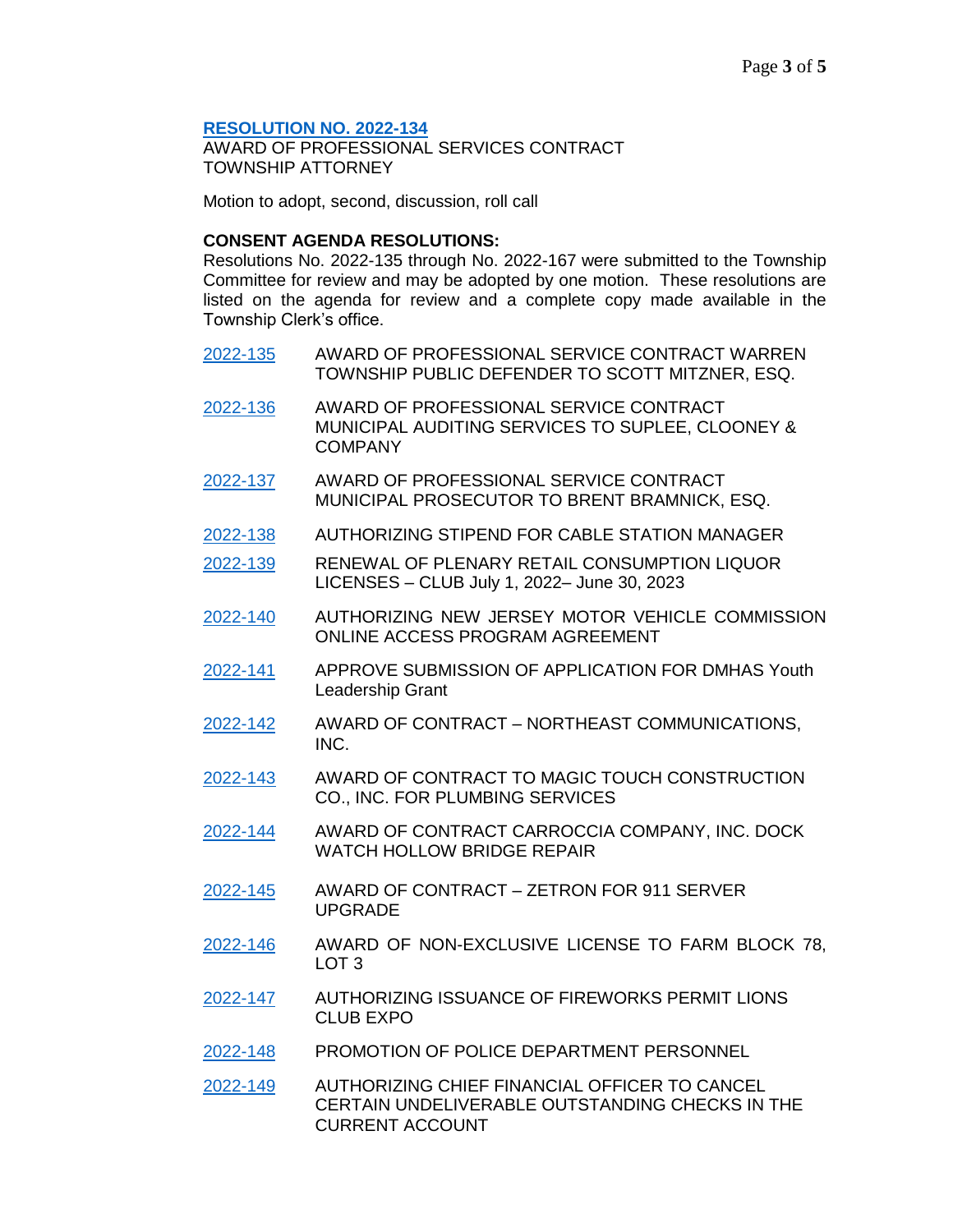#### **[RESOLUTION NO. 2022-134](https://warrennj.org/DocumentCenter/View/5882/2022-134-Prof-Services---Township-Attorney---Lehrer-PDF)**

AWARD OF PROFESSIONAL SERVICES CONTRACT TOWNSHIP ATTORNEY

Motion to adopt, second, discussion, roll call

## **CONSENT AGENDA RESOLUTIONS:**

Resolutions No. 2022-135 through No. 2022-167 were submitted to the Township Committee for review and may be adopted by one motion. These resolutions are listed on the agenda for review and a complete copy made available in the Township Clerk's office.

- [2022-135](https://warrennj.org/DocumentCenter/View/5883/2022-135-Prof-Service-Public-Defender-PDF) AWARD OF PROFESSIONAL SERVICE CONTRACT WARREN TOWNSHIP PUBLIC DEFENDER TO SCOTT MITZNER, ESQ.
- [2022-136](https://warrennj.org/DocumentCenter/View/5884/2022-136-Prof-Services---Auditors---Suplee--PDF) AWARD OF PROFESSIONAL SERVICE CONTRACT MUNICIPAL AUDITING SERVICES TO SUPLEE, CLOONEY & COMPANY
- [2022-137](https://warrennj.org/DocumentCenter/View/5885/2022-137-Prof-Services---Municipal-Prosecutor---Brent-Bramnick-PDF) AWARD OF PROFESSIONAL SERVICE CONTRACT MUNICIPAL PROSECUTOR TO BRENT BRAMNICK, ESQ.
- [2022-138](https://warrennj.org/DocumentCenter/View/5868/2022-138-Stipend-for-Cable-Station-Manager-PDF) AUTHORIZING STIPEND FOR CABLE STATION MANAGER
- [2022-139](https://warrennj.org/DocumentCenter/View/5869/2022-139-Club-License-Renewal-PDF) RENEWAL OF PLENARY RETAIL CONSUMPTION LIQUOR LICENSES – CLUB July 1, 2022– June 30, 2023
- [2022-140](https://warrennj.org/DocumentCenter/View/5909/2022-140-NJ-Motor-Vehicle-Commission-On-Line-Access-PDF) AUTHORIZING NEW JERSEY MOTOR VEHICLE COMMISSION ONLINE ACCESS PROGRAM AGREEMENT
- [2022-141](https://warrennj.org/DocumentCenter/View/5871/2022-141-Form-1B--DMHAS-Grant-Warren-22-PDF) APPROVE SUBMISSION OF APPLICATION FOR DMHAS Youth Leadership Grant
- [2022-142](https://warrennj.org/DocumentCenter/View/5872/2022-142-Contract-Award-Northeast-Communications-PDF) AWARD OF CONTRACT NORTHEAST COMMUNICATIONS, INC.
- [2022-143](https://warrennj.org/DocumentCenter/View/5873/2022-143-Award-Of-Contract---Plumbing---Magic-Touch-Construction-PDF) AWARD OF CONTRACT TO MAGIC TOUCH CONSTRUCTION CO., INC. FOR PLUMBING SERVICES
- [2022-144](https://warrennj.org/DocumentCenter/View/5874/2022-144-Award-of-Contract---Dock-Watch-Hollow-Bridge-Repair---Carroccia-Co-PDF) AWARD OF CONTRACT CARROCCIA COMPANY, INC. DOCK WATCH HOLLOW BRIDGE REPAIR
- [2022-145](https://warrennj.org/DocumentCenter/View/5875/2022-145-Award-of-Contract---Zetron---911-Server-Upgrade-PDF) AWARD OF CONTRACT ZETRON FOR 911 SERVER UPGRADE
- [2022-146](https://warrennj.org/DocumentCenter/View/5876/2022-146-License-to-Farm---Block-78-Lot-3---Springhouse-PDF) AWARD OF NON-EXCLUSIVE LICENSE TO FARM BLOCK 78, LOT 3
- [2022-147](https://warrennj.org/DocumentCenter/View/5877/2022-147-Lions-Expo---Firework-Permit-PDF) AUTHORIZING ISSUANCE OF FIREWORKS PERMIT LIONS CLUB EXPO
- [2022-148](https://warrennj.org/DocumentCenter/View/5878/2022-148-Police-Promotions-PDF) PROMOTION OF POLICE DEPARTMENT PERSONNEL
- [2022-149](https://warrennj.org/DocumentCenter/View/5879/2022-149-Cancel-Certain-Outstanding-Checks-in-Current-Account-PDF) AUTHORIZING CHIEF FINANCIAL OFFICER TO CANCEL CERTAIN UNDELIVERABLE OUTSTANDING CHECKS IN THE CURRENT ACCOUNT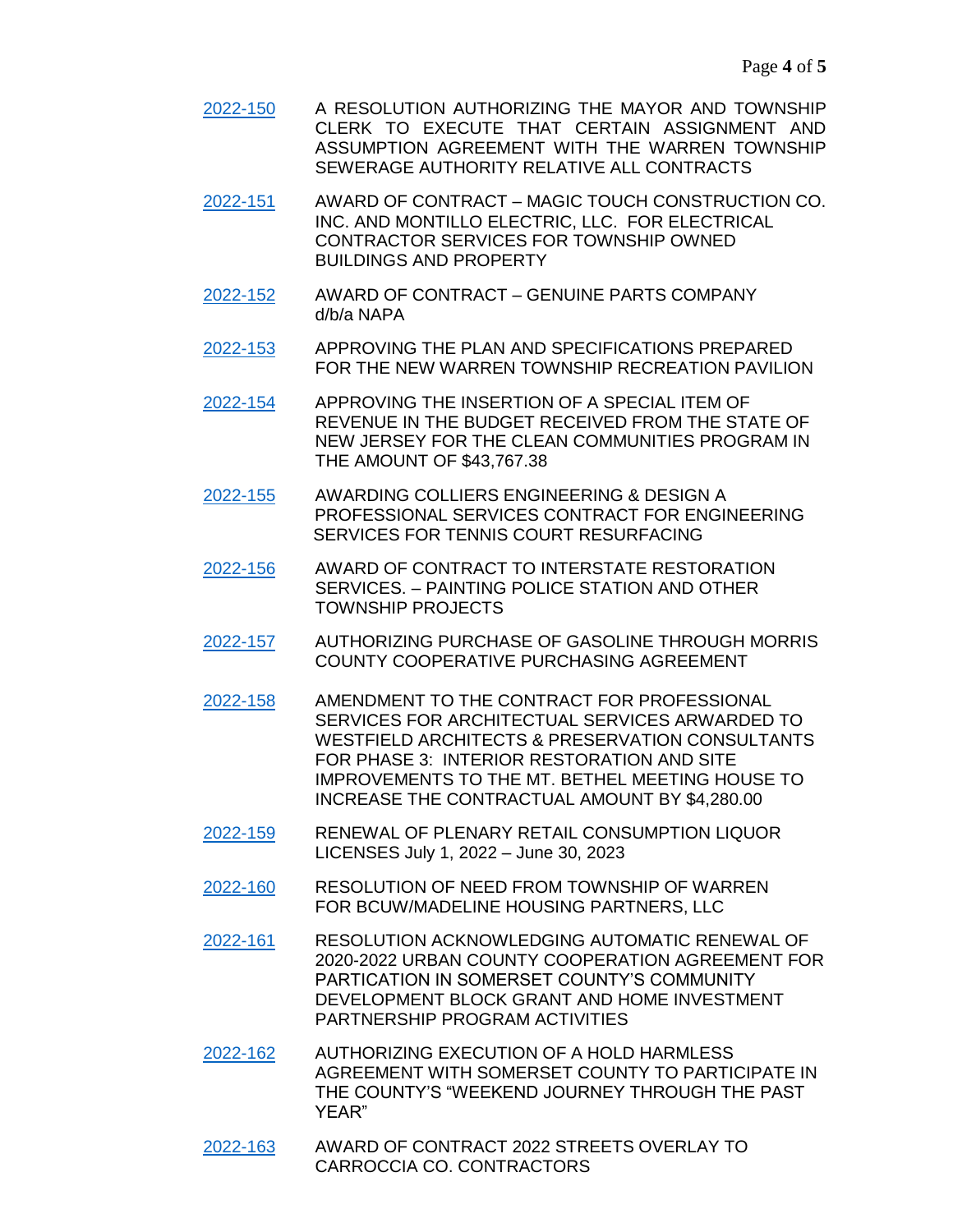[2022-150](https://warrennj.org/DocumentCenter/View/5880/2022-150-Authorize-Signing-Of-Assignment-And-Assumption-Agreement-PDF) A RESOLUTION AUTHORIZING THE MAYOR AND TOWNSHIP CLERK TO EXECUTE THAT CERTAIN ASSIGNMENT AND ASSUMPTION AGREEMENT WITH THE WARREN TOWNSHIP SEWERAGE AUTHORITY RELATIVE ALL CONTRACTS

[2022-151](https://warrennj.org/DocumentCenter/View/5886/2022-151-Award-of-Contract-Electrical-Services---Magic-Touch-PDF) AWARD OF CONTRACT – MAGIC TOUCH CONSTRUCTION CO. INC. AND MONTILLO ELECTRIC, LLC. FOR ELECTRICAL CONTRACTOR SERVICES FOR TOWNSHIP OWNED BUILDINGS AND PROPERTY

- [2022-152](https://warrennj.org/DocumentCenter/View/5887/2022-152-Award-of-Contract-Genuine-Parts---Tire-Machine-PDF) AWARD OF CONTRACT GENUINE PARTS COMPANY d/b/a NAPA
- [2022-153](https://warrennj.org/DocumentCenter/View/5888/2022-153-Approving-the-Plans-for-the-Warren-Recreational-Pavilion-PDF) APPROVING THE PLAN AND SPECIFICATIONS PREPARED FOR THE NEW WARREN TOWNSHIP RECREATION PAVILION

[2022-154](https://warrennj.org/DocumentCenter/View/5889/2022-154-Chapter-159-Clean-Communities-PDF) APPROVING THE INSERTION OF A SPECIAL ITEM OF REVENUE IN THE BUDGET RECEIVED FROM THE STATE OF NEW JERSEY FOR THE CLEAN COMMUNITIES PROGRAM IN THE AMOUNT OF \$43,767.38

- [2022-155](https://warrennj.org/DocumentCenter/View/5890/2022-155-COLLIERS-RESURFACING-TENNIS-COURTS-PDF) AWARDING COLLIERS ENGINEERING & DESIGN A PROFESSIONAL SERVICES CONTRACT FOR ENGINEERING SERVICES FOR TENNIS COURT RESURFACING
- [2022-156](https://warrennj.org/DocumentCenter/View/5891/2022-156-Award-of-Contract-Painting-Police-Department-PDF) AWARD OF CONTRACT TO INTERSTATE RESTORATION SERVICES. – PAINTING POLICE STATION AND OTHER TOWNSHIP PROJECTS
- [2022-157](https://warrennj.org/DocumentCenter/View/5892/2022-157-AUTHORIZING-PURCHASE-OF-GASOLINE-THROUGH-MORRIS-COUNTY-COOP-PURCHASING-AGREEMENT-PDF) AUTHORIZING PURCHASE OF GASOLINE THROUGH MORRIS COUNTY COOPERATIVE PURCHASING AGREEMENT
- [2022-158](https://warrennj.org/DocumentCenter/View/5894/2022-158-WESTFIELD-ARCHITECTS-MT-BETHEL-MEETING-HOUSE-PDF) AMENDMENT TO THE CONTRACT FOR PROFESSIONAL SERVICES FOR ARCHITECTUAL SERVICES ARWARDED TO WESTFIELD ARCHITECTS & PRESERVATION CONSULTANTS FOR PHASE 3: INTERIOR RESTORATION AND SITE IMPROVEMENTS TO THE MT. BETHEL MEETING HOUSE TO INCREASE THE CONTRACTUAL AMOUNT BY \$4,280.00
- [2022-159](https://warrennj.org/DocumentCenter/View/5895/2022-159-Plenary-Consumption-License-Renewal) RENEWAL OF PLENARY RETAIL CONSUMPTION LIQUOR LICENSES July 1, 2022 – June 30, 2023
- [2022-160](https://warrennj.org/DocumentCenter/View/5896/2022-160-BCUW-Madeline-Partners-PDF) RESOLUTION OF NEED FROM TOWNSHIP OF WARREN FOR BCUW/MADELINE HOUSING PARTNERS, LLC
- [2022-161](https://warrennj.org/DocumentCenter/View/5897/2022-161-Urban-County-Agreement-PDF) RESOLUTION ACKNOWLEDGING AUTOMATIC RENEWAL OF 2020-2022 URBAN COUNTY COOPERATION AGREEMENT FOR PARTICATION IN SOMERSET COUNTY'S COMMUNITY DEVELOPMENT BLOCK GRANT AND HOME INVESTMENT PARTNERSHIP PROGRAM ACTIVITIES
- [2022-162](https://warrennj.org/DocumentCenter/View/5898/2022-162-Hold-Harmless-Weekend-Journey-PDF) AUTHORIZING EXECUTION OF A HOLD HARMLESS AGREEMENT WITH SOMERSET COUNTY TO PARTICIPATE IN THE COUNTY'S "WEEKEND JOURNEY THROUGH THE PAST YEAR"
- [2022-163](https://warrennj.org/DocumentCenter/View/5899/2022-163-Award-of-Contract-for-2022-Streets-Overlay-PDF) AWARD OF CONTRACT 2022 STREETS OVERLAY TO CARROCCIA CO. CONTRACTORS